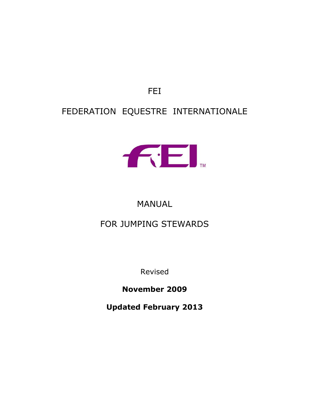FEI

# FEDERATION EQUESTRE INTERNATIONALE



# MANUAL

# FOR JUMPING STEWARDS

Revised

**November 2009**

**Updated February 2013**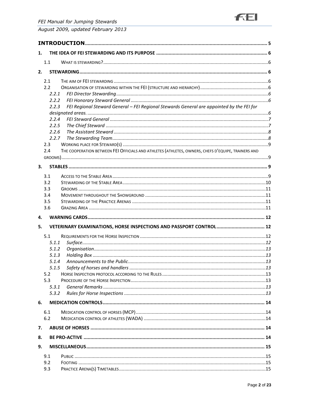

| 1.         |                                                                                                    |  |
|------------|----------------------------------------------------------------------------------------------------|--|
| 1.1        |                                                                                                    |  |
| 2.         |                                                                                                    |  |
| 2.1        |                                                                                                    |  |
| 2.2        |                                                                                                    |  |
|            | 2.2.1                                                                                              |  |
|            | 2.2.2                                                                                              |  |
|            | FEI Regional Steward General - FEI Regional Stewards General are appointed by the FEI for<br>2.2.3 |  |
|            |                                                                                                    |  |
|            | 2.2.4                                                                                              |  |
|            | 2.2.5                                                                                              |  |
|            | 2.2.6                                                                                              |  |
|            | 2.2.7                                                                                              |  |
| 2.3        |                                                                                                    |  |
| 2.4        | THE COOPERATION BETWEEN FEI OFFICIALS AND ATHLETES (ATHLETES, OWNERS, CHEFS D'EQUIPE, TRAINERS AND |  |
|            |                                                                                                    |  |
| 3.         |                                                                                                    |  |
| 3.1        |                                                                                                    |  |
| 3.2        |                                                                                                    |  |
| 3.3        |                                                                                                    |  |
| 3.4        |                                                                                                    |  |
| 3.5        |                                                                                                    |  |
| 3.6        |                                                                                                    |  |
| 4.         |                                                                                                    |  |
| 5.         | VETERINARY EXAMINATIONS, HORSE INSPECTIONS AND PASSPORT CONTROL 12                                 |  |
|            |                                                                                                    |  |
| 5.1        |                                                                                                    |  |
|            | 5.1.1                                                                                              |  |
|            | 5.1.2                                                                                              |  |
|            | 5.1.3                                                                                              |  |
|            | 5.1.4                                                                                              |  |
|            | 5.1.5                                                                                              |  |
| 5.2<br>5.3 |                                                                                                    |  |
|            | 5.3.1                                                                                              |  |
|            | 5.3.2                                                                                              |  |
|            |                                                                                                    |  |
| 6.         |                                                                                                    |  |
| 6.1        |                                                                                                    |  |
| 6.2        |                                                                                                    |  |
| 7.         |                                                                                                    |  |
| 8.         |                                                                                                    |  |
| 9.         |                                                                                                    |  |
| 9.1        |                                                                                                    |  |
| 9.2        |                                                                                                    |  |
| 9.3        |                                                                                                    |  |
|            |                                                                                                    |  |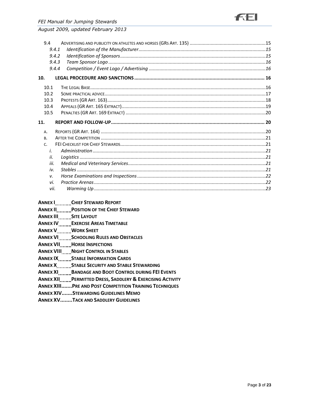|           | 9.4       |  |
|-----------|-----------|--|
|           | 9.4.1     |  |
|           | 9.4.2     |  |
|           | 9.4.3     |  |
|           | 9.4.4     |  |
| 10.       |           |  |
| 10.1      |           |  |
| 10.2      |           |  |
| 10.3      |           |  |
| 10.4      |           |  |
| 10.5      |           |  |
| 11.       |           |  |
|           |           |  |
| Α.        |           |  |
| <b>B.</b> |           |  |
| C.        |           |  |
|           | $\dot{L}$ |  |
|           | ii.       |  |
|           | iii.      |  |
|           | iv.       |  |
|           | v.        |  |
|           | vi.       |  |

#### **ANNEX I..........CHIEF STEWARD REPORT**

- **ANNEX II. POSITION OF THE CHIEF STEWARD**
- ANNEX III SITE LAYOUT
- **ANNEX IV........ EXERCISE AREAS TIMETABLE**
- **ANNEX V......... WORK SHEET**
- **ANNEX VI........SCHOOLING RULES AND OBSTACLES**
- **ANNEX VII....... HORSE INSPECTIONS**
- **ANNEX VIII..... NIGHT CONTROL IN STABLES**
- **ANNEX IX........ STABLE INFORMATION CARDS**
- **ANNEX X.........STABLE SECURITY AND STABLE STEWARDING**
- **ANNEX XI........BANDAGE AND BOOT CONTROL DURING FEI EVENTS**
- **ANNEX XII........ PERMITTED DRESS, SADDLERY & EXERCISING ACTIVITY**
- **ANNEX XIII....... PRE AND POST COMPETITION TRAINING TECHNIQUES**
- **ANNEX XIV.......STEWARDING GUIDELINES MEMO**
- **ANNEX XV........TACK AND SADDLERY GUIDELINES**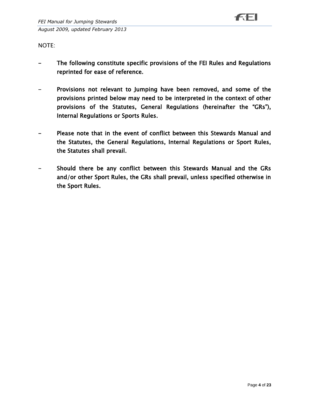NOTE:

- The following constitute specific provisions of the FEI Rules and Regulations reprinted for ease of reference.
- Provisions not relevant to Jumping have been removed, and some of the provisions printed below may need to be interpreted in the context of other provisions of the Statutes, General Regulations (hereinafter the "GRs"), Internal Regulations or Sports Rules.
- Please note that in the event of conflict between this Stewards Manual and the Statutes, the General Regulations, Internal Regulations or Sport Rules, the Statutes shall prevail.
- Should there be any conflict between this Stewards Manual and the GRs and/or other Sport Rules, the GRs shall prevail, unless specified otherwise in the Sport Rules.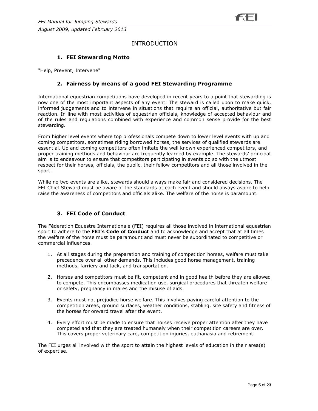# INTRODUCTION

# **1. FEI Stewarding Motto**

"Help, Prevent, Intervene"

#### **2. Fairness by means of a good FEI Stewarding Programme**

International equestrian competitions have developed in recent years to a point that stewarding is now one of the most important aspects of any event. The steward is called upon to make quick, informed judgements and to intervene in situations that require an official, authoritative but fair reaction. In line with most activities of equestrian officials, knowledge of accepted behaviour and of the rules and regulations combined with experience and common sense provide for the best stewarding.

From higher level events where top professionals compete down to lower level events with up and coming competitors, sometimes riding borrowed horses, the services of qualified stewards are essential. Up and coming competitors often imitate the well known experienced competitors, and proper training methods and behaviour are frequently learned by example. The stewards' principal aim is to endeavour to ensure that competitors participating in events do so with the utmost respect for their horses, officials, the public, their fellow competitors and all those involved in the sport.

While no two events are alike, stewards should always make fair and considered decisions. The FEI Chief Steward must be aware of the standards at each event and should always aspire to help raise the awareness of competitors and officials alike. The welfare of the horse is paramount.

## **3. FEI Code of Conduct**

The Féderation Equestre Internationale (FEI) requires all those involved in international equestrian sport to adhere to the **FEI's Code of Conduct** and to acknowledge and accept that at all times the welfare of the horse must be paramount and must never be subordinated to competitive or commercial influences.

- 1. At all stages during the preparation and training of competition horses, welfare must take precedence over all other demands. This includes good horse management, training methods, farriery and tack, and transportation.
- 2. Horses and competitors must be fit, competent and in good health before they are allowed to compete. This encompasses medication use, surgical procedures that threaten welfare or safety, pregnancy in mares and the misuse of aids.
- 3. Events must not prejudice horse welfare. This involves paying careful attention to the competition areas, ground surfaces, weather conditions, stabling, site safety and fitness of the horses for onward travel after the event.
- 4. Every effort must be made to ensure that horses receive proper attention after they have competed and that they are treated humanely when their competition careers are over. This covers proper veterinary care, competition injuries, euthanasia and retirement.

The FEI urges all involved with the sport to attain the highest levels of education in their area(s) of expertise.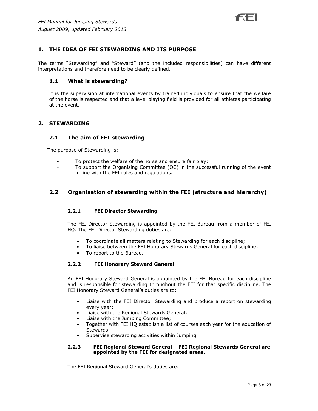

## **1. THE IDEA OF FEI STEWARDING AND ITS PURPOSE**

The terms "Stewarding" and "Steward" (and the included responsibilities) can have different interpretations and therefore need to be clearly defined.

#### **1.1 What is stewarding?**

It is the supervision at international events by trained individuals to ensure that the welfare of the horse is respected and that a level playing field is provided for all athletes participating at the event.

# **2. STEWARDING**

#### **2.1 The aim of FEI stewarding**

The purpose of Stewarding is:

- To protect the welfare of the horse and ensure fair play;
- To support the Organising Committee (OC) in the successful running of the event in line with the FEI rules and regulations.

## **2.2 Organisation of stewarding within the FEI (structure and hierarchy)**

#### **2.2.1 FEI Director Stewarding**

The FEI Director Stewarding is appointed by the FEI Bureau from a member of FEI HQ. The FEI Director Stewarding duties are:

- To coordinate all matters relating to Stewarding for each discipline;
- To liaise between the FEI Honorary Stewards General for each discipline;
- To report to the Bureau.

#### **2.2.2 FEI Honorary Steward General**

An FEI Honorary Steward General is appointed by the FEI Bureau for each discipline and is responsible for stewarding throughout the FEI for that specific discipline. The FEI Honorary Steward General's duties are to:

- Liaise with the FEI Director Stewarding and produce a report on stewarding every year;
- Liaise with the Regional Stewards General;
- Liaise with the Jumping Committee;
- Together with FEI HQ establish a list of courses each year for the education of Stewards;
- Supervise stewarding activities within Jumping.

#### **2.2.3 FEI Regional Steward General – FEI Regional Stewards General are appointed by the FEI for designated areas.**

The FEI Regional Steward General's duties are: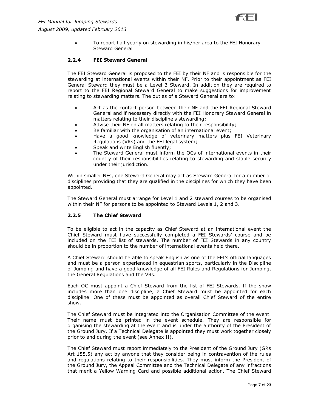

 To report half yearly on stewarding in his/her area to the FEI Honorary Steward General

#### **2.2.4 FEI Steward General**

The FEI Steward General is proposed to the FEI by their NF and is responsible for the stewarding at international events within their NF. Prior to their appointment as FEI General Steward they must be a Level 3 Steward. In addition they are required to report to the FEI Regional Steward General to make suggestions for improvement relating to stewarding matters. The duties of a Steward General are to:

- Act as the contact person between their NF and the FEI Regional Steward General and if necessary directly with the FEI Honorary Steward General in matters relating to their discipline's stewarding;
- Advise their NF on all matters relating to their responsibility;
- Be familiar with the organisation of an international event;
- Have a good knowledge of veterinary matters plus FEI Veterinary Regulations (VRs) and the FEI legal system;
- Speak and write English fluently;
- The Steward General must inform the OCs of international events in their country of their responsibilities relating to stewarding and stable security under their jurisdiction.

Within smaller NFs, one Steward General may act as Steward General for a number of disciplines providing that they are qualified in the disciplines for which they have been appointed.

The Steward General must arrange for Level 1 and 2 steward courses to be organised within their NF for persons to be appointed to Steward Levels 1, 2 and 3.

#### **2.2.5 The Chief Steward**

To be eligible to act in the capacity as Chief Steward at an international event the Chief Steward must have successfully completed a FEI Stewards' course and be included on the FEI list of stewards. The number of FEI Stewards in any country should be in proportion to the number of international events held there.

A Chief Steward should be able to speak English as one of the FEI's official languages and must be a person experienced in equestrian sports, particularly in the Discipline of Jumping and have a good knowledge of all FEI Rules and Regulations for Jumping, the General Regulations and the VRs.

Each OC must appoint a Chief Steward from the list of FEI Stewards. If the show includes more than one discipline, a Chief Steward must be appointed for each discipline. One of these must be appointed as overall Chief Steward of the entire show.

The Chief Steward must be integrated into the Organisation Committee of the event. Their name must be printed in the event schedule. They are responsible for organising the stewarding at the event and is under the authority of the President of the Ground Jury. If a Technical Delegate is appointed they must work together closely prior to and during the event (see Annex II).

The Chief Steward must report immediately to the President of the Ground Jury (GRs Art 155.5) any act by anyone that they consider being in contravention of the rules and regulations relating to their responsibilities. They must inform the President of the Ground Jury, the Appeal Committee and the Technical Delegate of any infractions that merit a Yellow Warning Card and possible additional action. The Chief Steward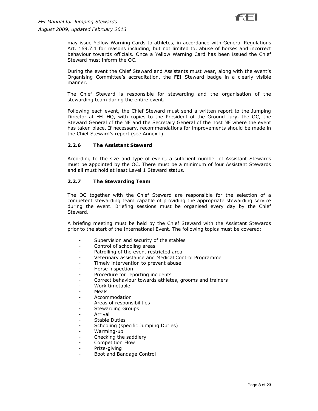

may issue Yellow Warning Cards to athletes, in accordance with General Regulations Art. 169.7.1 for reasons including, but not limited to, abuse of horses and incorrect behaviour towards officials. Once a Yellow Warning Card has been issued the Chief Steward must inform the OC.

During the event the Chief Steward and Assistants must wear, along with the event's Organising Committee's accreditation, the FEI Steward badge in a clearly visible manner.

The Chief Steward is responsible for stewarding and the organisation of the stewarding team during the entire event.

Following each event, the Chief Steward must send a written report to the Jumping Director at FEI HQ, with copies to the President of the Ground Jury, the OC, the Steward General of the NF and the Secretary General of the host NF where the event has taken place. If necessary, recommendations for improvements should be made in the Chief Steward's report (see Annex I).

#### **2.2.6 The Assistant Steward**

According to the size and type of event, a sufficient number of Assistant Stewards must be appointed by the OC. There must be a minimum of four Assistant Stewards and all must hold at least Level 1 Steward status.

#### **2.2.7 The Stewarding Team**

The OC together with the Chief Steward are responsible for the selection of a competent stewarding team capable of providing the appropriate stewarding service during the event. Briefing sessions must be organised every day by the Chief Steward.

A briefing meeting must be held by the Chief Steward with the Assistant Stewards prior to the start of the International Event. The following topics must be covered:

- Supervision and security of the stables
- Control of schooling areas
- Patrolling of the event restricted area
- Veterinary assistance and Medical Control Programme
- Timely intervention to prevent abuse
- Horse inspection
- Procedure for reporting incidents
- Correct behaviour towards athletes, grooms and trainers
- Work timetable
- Meals
- Accommodation
- Areas of responsibilities
- Stewarding Groups
- **Arrival**
- Stable Duties
- Schooling (specific Jumping Duties)
- Warming-up
- Checking the saddlery
- Competition Flow
- Prize-giving
- Boot and Bandage Control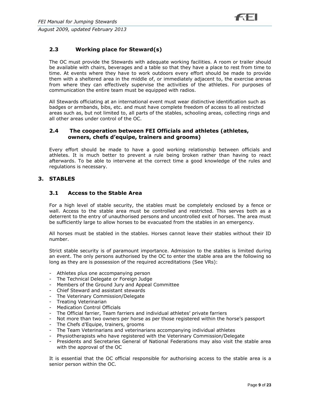# **2.3 Working place for Steward(s)**

The OC must provide the Stewards with adequate working facilities. A room or trailer should be available with chairs, beverages and a table so that they have a place to rest from time to time. At events where they have to work outdoors every effort should be made to provide them with a sheltered area in the middle of, or immediately adjacent to, the exercise arenas from where they can effectively supervise the activities of the athletes. For purposes of communication the entire team must be equipped with radios.

All Stewards officiating at an international event must wear distinctive identification such as badges or armbands, bibs, etc. and must have complete freedom of access to all restricted areas such as, but not limited to, all parts of the stables, schooling areas, collecting rings and all other areas under control of the OC.

## **2.4 The cooperation between FEI Officials and athletes (athletes, owners, chefs d'equipe, trainers and grooms)**

Every effort should be made to have a good working relationship between officials and athletes. It is much better to prevent a rule being broken rather than having to react afterwards. To be able to intervene at the correct time a good knowledge of the rules and regulations is necessary.

## **3. STABLES**

## **3.1 Access to the Stable Area**

For a high level of stable security, the stables must be completely enclosed by a fence or wall. Access to the stable area must be controlled and restricted. This serves both as a deterrent to the entry of unauthorised persons and uncontrolled exit of horses. The area must be sufficiently large to allow horses to be evacuated from the stables in an emergency.

All horses must be stabled in the stables. Horses cannot leave their stables without their ID number.

Strict stable security is of paramount importance. Admission to the stables is limited during an event. The only persons authorised by the OC to enter the stable area are the following so long as they are is possession of the required accreditations (See VRs):

- Athletes plus one accompanying person
- The Technical Delegate or Foreign Judge
- Members of the Ground Jury and Appeal Committee
- Chief Steward and assistant stewards
- The Veterinary Commission/Delegate
- Treating Veterinarian
- Medication Control Officials
- The Official farrier, Team farriers and individual athletes' private farriers
- Not more than two owners per horse as per those registered within the horse's passport
- The Chefs d'Equipe, trainers, grooms
- The Team Veterinarians and veterinarians accompanying individual athletes
- Physiotherapists who have registered with the Veterinary Commission/Delegate
- Presidents and Secretaries General of National Federations may also visit the stable area with the approval of the OC

It is essential that the OC official responsible for authorising access to the stable area is a senior person within the OC.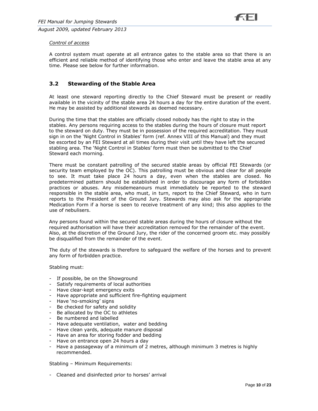#### *Control of access*

A control system must operate at all entrance gates to the stable area so that there is an efficient and reliable method of identifying those who enter and leave the stable area at any time. Please see below for further information.

## **3.2 Stewarding of the Stable Area**

At least one steward reporting directly to the Chief Steward must be present or readily available in the vicinity of the stable area 24 hours a day for the entire duration of the event. He may be assisted by additional stewards as deemed necessary.

During the time that the stables are officially closed nobody has the right to stay in the stables. Any persons requiring access to the stables during the hours of closure must report to the steward on duty. They must be in possession of the required accreditation. They must sign in on the 'Night Control in Stables' form (ref. Annex VIII of this Manual) and they must be escorted by an FEI Steward at all times during their visit until they have left the secured stabling area. The 'Night Control in Stables' form must then be submitted to the Chief Steward each morning.

There must be constant patrolling of the secured stable areas by official FEI Stewards (or security team employed by the OC). This patrolling must be obvious and clear for all people to see. It must take place 24 hours a day, even when the stables are closed. No predetermined pattern should be established in order to discourage any form of forbidden practices or abuses. Any misdemeanours must immediately be reported to the steward responsible in the stable area, who must, in turn, report to the Chief Steward, who in turn reports to the President of the Ground Jury. Stewards may also ask for the appropriate Medication Form if a horse is seen to receive treatment of any kind; this also applies to the use of nebulisers.

Any persons found within the secured stable areas during the hours of closure without the required authorisation will have their accreditation removed for the remainder of the event. Also, at the discretion of the Ground Jury, the rider of the concerned groom etc. may possibly be disqualified from the remainder of the event.

The duty of the stewards is therefore to safeguard the welfare of the horses and to prevent any form of forbidden practice.

Stabling must:

- If possible, be on the Showground
- Satisfy requirements of local authorities
- Have clear-kept emergency exits
- Have appropriate and sufficient fire-fighting equipment
- Have 'no-smoking' signs
- Be checked for safety and solidity
- Be allocated by the OC to athletes
- Be numbered and labelled
- Have adequate ventilation, water and bedding
- Have clean yards, adequate manure disposal
- Have an area for storing fodder and bedding
- Have on entrance open 24 hours a day
- Have a passageway of a minimum of 2 metres, although minimum 3 metres is highly recommended.

Stabling – Minimum Requirements:

- Cleaned and disinfected prior to horses' arrival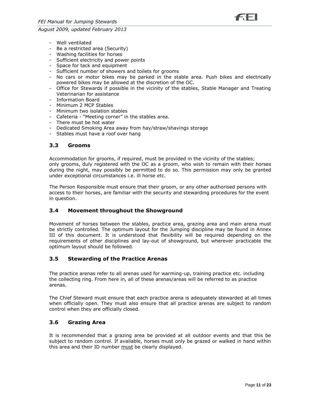

- Well ventilated
- Be a restricted area (Security)
- Washing facilities for horses
- Sufficient electricity and power points
- Space for tack and equipment
- Sufficient number of showers and toilets for grooms
- No cars or motor bikes may be parked in the stable area. Push bikes and electrically powered bikes may be allowed at the discretion of the OC.
- Office for Stewards if possible in the vicinity of the stables, Stable Manager and Treating Veterinarian for assistance
- Information Board
- Minimum 2 MCP Stables
- Minimum two isolation stables
- Cafeteria "Meeting corner" in the stables area.
- There must be hot water
- Dedicated Smoking Area away from hay/straw/shavings storage
- Stables must have a roof over hang

#### **3.3 Grooms**

Accommodation for grooms, if required, must be provided in the vicinity of the stables; only grooms, duly registered with the OC as a groom, who wish to remain with their horses during the night, may possibly be permitted to do so. This permission may only be granted under exceptional circumstances i.e. ill horse etc.

The Person Responsible must ensure that their groom, or any other authorised persons with access to their horses, are familiar with the security and stewarding procedures for the event in question.

## **3.4 Movement throughout the Showground**

Movement of horses between the stables, practice area, grazing area and main arena must be strictly controlled. The optimum layout for the Jumping discipline may be found in Annex III of this document. It is understood that flexibility will be required depending on the requirements of other disciplines and lay-out of showground, but wherever practicable the optimum layout should be followed.

#### **3.5 Stewarding of the Practice Arenas**

The practice arenas refer to all arenas used for warming-up, training practice etc. including the collecting ring. From here in, all of these arenas/areas will be referred to as practice arenas.

The Chief Steward must ensure that each practice arena is adequately stewarded at all times when officially open. They must also ensure that all practice arenas are subject to random control when they are officially closed.

## **3.6 Grazing Area**

It is recommended that a grazing area be provided at all outdoor events and that this be subject to random control. If available, horses must only be grazed or walked in hand within this area and their ID number must be clearly displayed.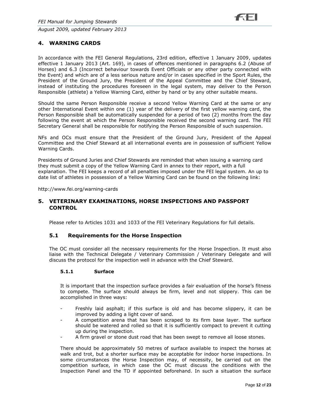## **4. WARNING CARDS**

In accordance with the FEI General Regulations, 23rd edition, effective 1 January 2009, updates effective 1 January 2013 (Art. 169), in cases of offences mentioned in paragraphs 6.2 (Abuse of Horses) and 6.3 (Incorrect behaviour towards Event Officials or any other party connected with the Event) and which are of a less serious nature and/or in cases specified in the Sport Rules, the President of the Ground Jury, the President of the Appeal Committee and the Chief Steward, instead of instituting the procedures foreseen in the legal system, may deliver to the Person Responsible (athlete) a Yellow Warning Card, either by hand or by any other suitable means.

Should the same Person Responsible receive a second Yellow Warning Card at the same or any other International Event within one (1) year of the delivery of the first yellow warning card, the Person Responsible shall be automatically suspended for a period of two (2) months from the day following the event at which the Person Responsible received the second warning card. The FEI Secretary General shall be responsible for notifying the Person Responsible of such suspension.

NFs and OCs must ensure that the President of the Ground Jury, President of the Appeal Committee and the Chief Steward at all international events are in possession of sufficient Yellow Warning Cards.

Presidents of Ground Juries and Chief Stewards are reminded that when issuing a warning card they must submit a copy of the Yellow Warning Card in annex to their report, with a full explanation. The FEI keeps a record of all penalties imposed under the FEI legal system. An up to date list of athletes in possession of a Yellow Warning Card can be found on the following link:

http://www.fei.org/warning-cards

#### **5. VETERINARY EXAMINATIONS, HORSE INSPECTIONS AND PASSPORT CONTROL**

Please refer to Articles 1031 and 1033 of the FEI Veterinary Regulations for full details.

#### **5.1 Requirements for the Horse Inspection**

The OC must consider all the necessary requirements for the Horse Inspection. It must also liaise with the Technical Delegate / Veterinary Commission / Veterinary Delegate and will discuss the protocol for the inspection well in advance with the Chief Steward.

#### **5.1.1 Surface**

It is important that the inspection surface provides a fair evaluation of the horse's fitness to compete. The surface should always be firm, level and not slippery. This can be accomplished in three ways:

- Freshly laid asphalt; if this surface is old and has become slippery, it can be improved by adding a light cover of sand.
- A competition arena that has been scraped to its firm base layer. The surface should be watered and rolled so that it is sufficiently compact to prevent it cutting up during the inspection.
- A firm gravel or stone dust road that has been swept to remove all loose stones.

There should be approximately 50 metres of surface available to inspect the horses at walk and trot, but a shorter surface may be acceptable for indoor horse inspections. In some circumstances the Horse Inspection may, of necessity, be carried out on the competition surface, in which case the OC must discuss the conditions with the Inspection Panel and the TD if appointed beforehand. In such a situation the surface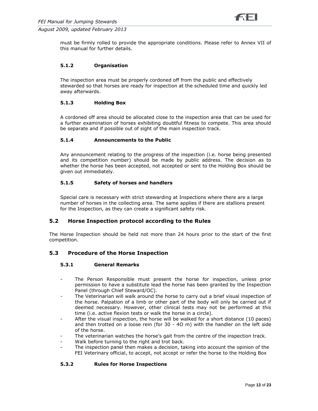must be firmly rolled to provide the appropriate conditions. Please refer to Annex VII of this manual for further details.

## **5.1.2 Organisation**

The inspection area must be properly cordoned off from the public and effectively stewarded so that horses are ready for inspection at the scheduled time and quickly led away afterwards.

#### **5.1.3 Holding Box**

A cordoned off area should be allocated close to the inspection area that can be used for a further examination of horses exhibiting doubtful fitness to compete. This area should be separate and if possible out of sight of the main inspection track.

## **5.1.4 Announcements to the Public**

Any announcement relating to the progress of the inspection (i.e. horse being presented and its competition number) should be made by public address. The decision as to whether the horse has been accepted, not accepted or sent to the Holding Box should be given out immediately.

#### **5.1.5 Safety of horses and handlers**

Special care is necessary with strict stewarding at Inspections where there are a large number of horses in the collecting area. The same applies if there are stallions present for the Inspection, as they can create a significant safety risk.

## **5.2 Horse Inspection protocol according to the Rules**

The Horse Inspection should be held not more than 24 hours prior to the start of the first competition.

## **5.3 Procedure of the Horse Inspection**

#### **5.3.1 General Remarks**

- The Person Responsible must present the horse for inspection, unless prior permission to have a substitute lead the horse has been granted by the Inspection Panel (through Chief Steward/OC).
- The Veterinarian will walk around the horse to carry out a brief visual inspection of the horse. Palpation of a limb or other part of the body will only be carried out if deemed necessary. However, other clinical tests may not be performed at this time (i.e. active flexion tests or walk the horse in a circle).
- After the visual inspection, the horse will be walked for a short distance (10 paces) and then trotted on a loose rein (for 30 - 4O m) with the handler on the left side of the horse.
- The veterinarian watches the horse's gait from the centre of the inspection track.
- Walk before turning to the right and trot back.
- The inspection panel then makes a decision, taking into account the opinion of the FEI Veterinary official, to accept, not accept or refer the horse to the Holding Box

## **5.3.2 Rules for Horse Inspections**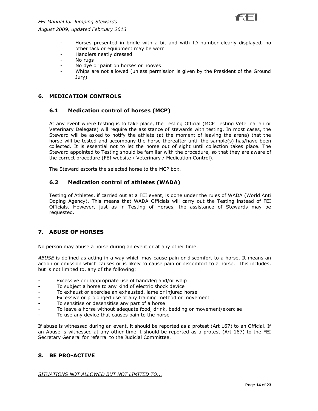



- Horses presented in bridle with a bit and with ID number clearly displayed, no other tack or equipment may be worn
- Handlers neatly dressed
- No rugs
- No dye or paint on horses or hooves
- Whips are not allowed (unless permission is given by the President of the Ground Jury)

## **6. MEDICATION CONTROLS**

#### **6.1 Medication control of horses (MCP)**

At any event where testing is to take place, the Testing Official (MCP Testing Veterinarian or Veterinary Delegate) will require the assistance of stewards with testing. In most cases, the Steward will be asked to notify the athlete (at the moment of leaving the arena) that the horse will be tested and accompany the horse thereafter until the sample(s) has/have been collected. It is essential not to let the horse out of sight until collection takes place. The Steward appointed to Testing should be familiar with the procedure, so that they are aware of the correct procedure (FEI website / Veterinary / Medication Control).

The Steward escorts the selected horse to the MCP box.

#### **6.2 Medication control of athletes (WADA)**

Testing of Athletes, if carried out at a FEI event, is done under the rules of WADA (World Anti Doping Agency). This means that WADA Officials will carry out the Testing instead of FEI Officials. However, just as in Testing of Horses, the assistance of Stewards may be requested.

## **7. ABUSE OF HORSES**

No person may abuse a horse during an event or at any other time.

*ABUSE* is defined as acting in a way which may cause pain or discomfort to a horse. It means an action or omission which causes or is likely to cause pain or discomfort to a horse. This includes, but is not limited to, any of the following:

- Excessive or inappropriate use of hand/leg and/or whip
- To subject a horse to any kind of electric shock device
- To exhaust or exercise an exhausted, lame or injured horse
- Excessive or prolonged use of any training method or movement
- To sensitise or desensitise any part of a horse
- To leave a horse without adequate food, drink, bedding or movement/exercise
- To use any device that causes pain to the horse

If abuse is witnessed during an event, it should be reported as a protest (Art 167) to an Official. If an Abuse is witnessed at any other time it should be reported as a protest (Art 167) to the FEI Secretary General for referral to the Judicial Committee.

## **8. BE PRO-ACTIVE**

*SITUATIONS NOT ALLOWED BUT NOT LIMITED TO...*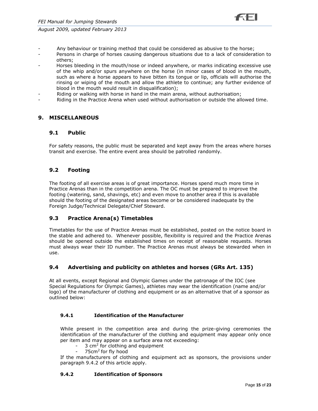

- Any behaviour or training method that could be considered as abusive to the horse;
- Persons in charge of horses causing dangerous situations due to a lack of consideration to others;
- Horses bleeding in the mouth/nose or indeed anywhere, or marks indicating excessive use of the whip and/or spurs anywhere on the horse (in minor cases of blood in the mouth, such as where a horse appears to have bitten its tongue or lip, officials will authorise the rinsing or wiping of the mouth and allow the athlete to continue; any further evidence of blood in the mouth would result in disqualification);
- Riding or walking with horse in hand in the main arena, without authorisation;
- Riding in the Practice Arena when used without authorisation or outside the allowed time.

## **9. MISCELLANEOUS**

## **9.1 Public**

For safety reasons, the public must be separated and kept away from the areas where horses transit and exercise. The entire event area should be patrolled randomly.

## **9.2 Footing**

The footing of all exercise areas is of great importance. Horses spend much more time in Practice Arenas than in the competition arena. The OC must be prepared to improve the footing (watering, sand, shavings, etc) and even move to another area if this is available should the footing of the designated areas become or be considered inadequate by the Foreign Judge/Technical Delegate/Chief Steward.

## **9.3 Practice Arena(s) Timetables**

Timetables for the use of Practice Arenas must be established, posted on the notice board in the stable and adhered to. Whenever possible, flexibility is required and the Practice Arenas should be opened outside the established times on receipt of reasonable requests. Horses must always wear their ID number. The Practice Arenas must always be stewarded when in use.

## **9.4 Advertising and publicity on athletes and horses (GRs Art. 135)**

At all events, except Regional and Olympic Games under the patronage of the IOC (see Special Regulations for Olympic Games), athletes may wear the identification (name and/or logo) of the manufacturer of clothing and equipment or as an alternative that of a sponsor as outlined below:

## **9.4.1 Identification of the Manufacturer**

While present in the competition area and during the prize-giving ceremonies the identification of the manufacturer of the clothing and equipment may appear only once per item and may appear on a surface area not exceeding:

- $-$  3 cm<sup>2</sup> for clothing and equipment
- 75cm<sup>2</sup> for fly hood

If the manufacturers of clothing and equipment act as sponsors, the provisions under paragraph 9.4.2 of this article apply.

#### **9.4.2 Identification of Sponsors**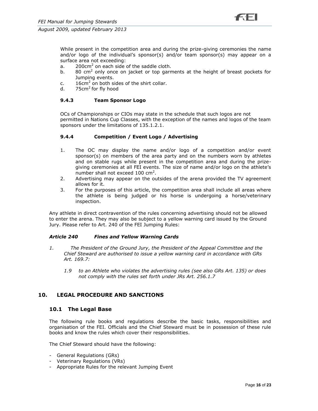

While present in the competition area and during the prize-giving ceremonies the name and/or logo of the individual's sponsor(s) and/or team sponsor(s) may appear on a surface area not exceeding:

- a.  $200 \text{cm}^2$  on each side of the saddle cloth.
- b. 80 cm<sup>2</sup> only once on jacket or top garments at the height of breast pockets for Jumping events.
- c.  $16 \text{cm}^2$  on both sides of the shirt collar.
- d. 75cm<sup>2</sup> for fly hood

#### **9.4.3 Team Sponsor Logo**

OCs of Championships or CIOs may state in the schedule that such logos are not permitted in Nations Cup Classes, with the exception of the names and logos of the team sponsors under the limitations of 135.1.2.1.

#### **9.4.4 Competition / Event Logo / Advertising**

- 1. The OC may display the name and/or logo of a competition and/or event sponsor(s) on members of the area party and on the numbers worn by athletes and on stable rugs while present in the competition area and during the prizegiving ceremonies at all FEI events. The size of name and/or logo on the athlete's number shall not exceed  $100 \text{ cm}^2$ .
- 2. Advertising may appear on the outsides of the arena provided the TV agreement allows for it.
- 3. For the purposes of this article, the competition area shall include all areas where the athlete is being judged or his horse is undergoing a horse/veterinary inspection.

Any athlete in direct contravention of the rules concerning advertising should not be allowed to enter the arena. They may also be subject to a yellow warning card issued by the Ground Jury. Please refer to Art. 240 of the FEI Jumping Rules:

#### *Article 240 Fines and Yellow Warning Cards*

- *1. The President of the Ground Jury, the President of the Appeal Committee and the Chief Steward are authorised to issue a yellow warning card in accordance with GRs Art. 169.7:*
	- *1.9 to an Athlete who violates the advertising rules (see also GRs Art. 135) or does not comply with the rules set forth under JRs Art. 256.1.7*

#### **10. LEGAL PROCEDURE AND SANCTIONS**

#### **10.1 The Legal Base**

The following rule books and regulations describe the basic tasks, responsibilities and organisation of the FEI. Officials and the Chief Steward must be in possession of these rule books and know the rules which cover their responsibilities.

The Chief Steward should have the following:

- General Regulations (GRs)
- Veterinary Regulations (VRs)
- Appropriate Rules for the relevant Jumping Event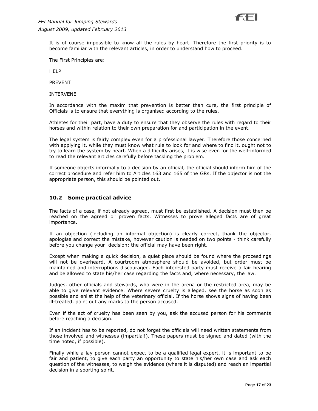It is of course impossible to know all the rules by heart. Therefore the first priority is to become familiar with the relevant articles, in order to understand how to proceed.

The First Principles are:

HELP

PREVENT

INTERVENE

In accordance with the maxim that prevention is better than cure, the first principle of Officials is to ensure that everything is organised according to the rules.

Athletes for their part, have a duty to ensure that they observe the rules with regard to their horses and within relation to their own preparation for and participation in the event.

The legal system is fairly complex even for a professional lawyer. Therefore those concerned with applying it, while they must know what rule to look for and where to find it, ought not to try to learn the system by heart. When a difficulty arises, it is wise even for the well-informed to read the relevant articles carefully before tackling the problem.

If someone objects informally to a decision by an official, the official should inform him of the correct procedure and refer him to Articles 163 and 165 of the GRs. If the objector is not the appropriate person, this should be pointed out.

#### **10.2 Some practical advice**

The facts of a case, if not already agreed, must first be established. A decision must then be reached on the agreed or proven facts. Witnesses to prove alleged facts are of great importance.

If an objection (including an informal objection) is clearly correct, thank the objector, apologise and correct the mistake, however caution is needed on two points - think carefully before you change your decision: the official may have been right.

Except when making a quick decision, a quiet place should be found where the proceedings will not be overheard. A courtroom atmosphere should be avoided, but order must be maintained and interruptions discouraged. Each interested party must receive a fair hearing and be allowed to state his/her case regarding the facts and, where necessary, the law.

Judges, other officials and stewards, who were in the arena or the restricted area, may be able to give relevant evidence. Where severe cruelty is alleged, see the horse as soon as possible and enlist the help of the veterinary official. If the horse shows signs of having been ill-treated, point out any marks to the person accused.

Even if the act of cruelty has been seen by you, ask the accused person for his comments before reaching a decision.

If an incident has to be reported, do not forget the officials will need written statements from those involved and witnesses (impartial!). These papers must be signed and dated (with the time noted, if possible).

Finally while a lay person cannot expect to be a qualified legal expert, it is important to be fair and patient, to give each party an opportunity to state his/her own case and ask each question of the witnesses, to weigh the evidence (where it is disputed) and reach an impartial decision in a sporting spirit.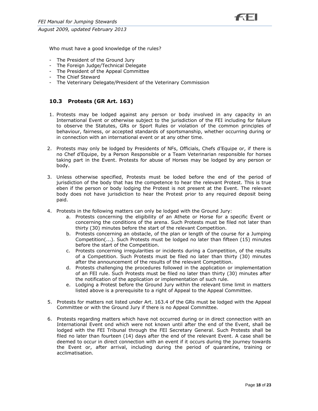Who must have a good knowledge of the rules?

- The President of the Ground Jury
- The Foreign Judge/Technical Delegate
- The President of the Appeal Committee
- The Chief Steward
- The Veterinary Delegate/President of the Veterinary Commission

## **10.3 Protests (GR Art. 163)**

- 1. Protests may be lodged against any person or body involved in any capacity in an International Event or otherwise subject to the jurisdiction of the FEI including for failure to observe the Statutes, GRs or Sport Rules or violation of the common principles of behaviour, fairness, or accepted standards of sportsmanship, whether occurring during or in connection with an international event or at any other time.
- 2. Protests may only be lodged by Presidents of NFs, Officials, Chefs d'Equipe or, if there is no Chef d'Equipe, by a Person Responsible or a Team Veterinarian responsible for horses taking part in the Event. Protests for abuse of Horses may be lodged by any person or body.
- 3. Unless otherwise specified, Protests must be loded before the end of the period of jurisdiction of the body that has the competence to hear the relevant Protest. This is true eben if the person or body lodging the Protest is not present at the Event. The relevant body does not have jurisdiction to hear the Protest prior to any required deposit being paid.
- 4. Protests in the following matters can only be lodged with the Ground Jury:
	- a. Protests concerning the eligibility of an Athete or Horse for a specific Event or concerning the conditions of the arena. Such Protests must be filed not later than thirty (30) minutes before the start of the relevant Competition.
	- b. Protests concerning an obstacle, of the plan or length of the course for a Jumping Competition(...). Such Protests must be lodged no later than fifteen (15) minutes before the start of the Competition.
	- c. Protests concerning irregularities or incidents during a Competition, of the results of a Competition. Such Protests must be filed no later than thirty (30) minutes after the announcement of the results of the relevant Competition.
	- d. Protests challenging the procedures followed in the application or implementation of an FEI rule. Such Protests must be filed no later than thirty (30) minutes after the notification of the application or implementation of such rule.
	- e. Lodging a Protest before the Ground Jury within the relevant time limit in matters listed above is a prerequisite to a right of Appeal to the Appeal Committee.
- 5. Protests for matters not listed under Art. 163.4 of the GRs must be lodged with the Appeal Committee or with the Ground Jury if there is no Appeal Committee.
- 6. Protests regarding matters which have not occurred during or in direct connection with an International Event ond which were not known until after the end of the Event, shall be lodged with the FEI Tribunal through the FEI Secretary General. Such Protests shall be filed no later than fourteen (14) days after the end of the relevant Event. A case shall be deemed to occur in direct connection with an event if it occurs during the journey towards the Event or, after arrival, including during the period of quarantine, training or acclimatisation.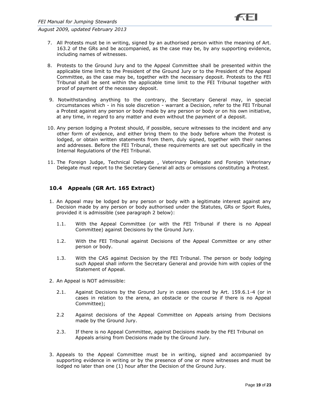- 7. All Protests must be in writing, signed by an authorised person within the meaning of Art. 163.2 of the GRs and be accompanied, as the case may be, by any supporting evidence, including names of witnesses.
- 8. Protests to the Ground Jury and to the Appeal Committee shall be presented within the applicable time limit to the President of the Ground Jury or to the President of the Appeal Committee, as the case may be, together with the necessary deposit. Protests to the FEI Tribunal shall be sent within the applicable time limit to the FEI Tribunal together with proof of payment of the necessary deposit.
- 9. Notwithstanding anything to the contrary, the Secretary General may, in special circumstances which - in his sole discretion - warrant a Decision, refer to the FEI Tribunal a Protest against any person or body made by any person or body or on his own initiative, at any time, in regard to any matter and even without the payment of a deposit.
- 10. Any person lodging a Protest should, if possible, secure witnesses to the incident and any other form of evidence, and either bring them to the body before whom the Protest is lodged, or obtain written statements from them, duly signed, together with their names and addresses. Before the FEI Tribunal, these requirements are set out specifically in the Internal Regulations of the FEI Tribunal.
- 11. The Foreign Judge, Technical Delegate , Veterinary Delegate and Foreign Veterinary Delegate must report to the Secretary General all acts or omissions constituting a Protest.

## **10.4 Appeals (GR Art. 165 Extract)**

- 1. An Appeal may be lodged by any person or body with a legitimate interest against any Decision made by any person or body authorised under the Statutes, GRs or Sport Rules, provided it is admissible (see paragraph 2 below):
	- 1.1. With the Appeal Committee (or with the FEI Tribunal if there is no Appeal Committee) against Decisions by the Ground Jury.
	- 1.2. With the FEI Tribunal against Decisions of the Appeal Committee or any other person or body.
	- 1.3. With the CAS against Decision by the FEI Tribunal. The person or body lodging such Appeal shall inform the Secretary General and provide him with copies of the Statement of Appeal.
- 2. An Appeal is NOT admissible:
	- 2.1. Against Decisions by the Ground Jury in cases covered by Art. 159.6.1-4 (or in cases in relation to the arena, an obstacle or the course if there is no Appeal Committee);
	- 2.2 Against decisions of the Appeal Committee on Appeals arising from Decisions made by the Ground Jury.
	- 2.3. If there is no Appeal Committee, against Decisions made by the FEI Tribunal on Appeals arising from Decisions made by the Ground Jury.
- 3. Appeals to the Appeal Committee must be in writing, signed and accompanied by supporting evidence in writing or by the presence of one or more witnesses and must be lodged no later than one (1) hour after the Decision of the Ground Jury.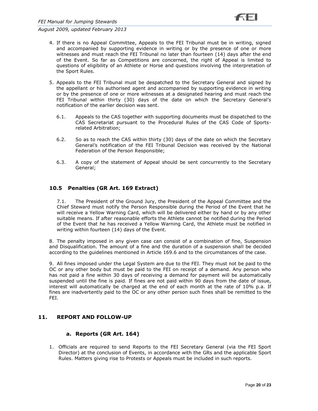- 4. If there is no Appeal Committee, Appeals to the FEI Tribunal must be in writing, signed and accompanied by supporting evidence in writing or by the presence of one or more witnesses and must reach the FEI Tribunal no later than fourteen (14) days after the end of the Event. So far as Competitions are concerned, the right of Appeal is limited to questions of eligibility of an Athlete or Horse and questions involving the interpretation of the Sport Rules.
- 5. Appeals to the FEI Tribunal must be despatched to the Secretary General and signed by the appellant or his authorised agent and accompanied by supporting evidence in writing or by the presence of one or more witnesses at a designated hearing and must reach the FEI Tribunal within thirty (30) days of the date on which the Secretary General's notification of the earlier decision was sent.
	- 6.1. Appeals to the CAS together with supporting documents must be dispatched to the CAS Secretariat pursuant to the Procedural Rules of the CAS Code of Sportsrelated Arbitration;
	- 6.2. So as to reach the CAS within thirty (30) days of the date on which the Secretary General's notification of the FEI Tribunal Decision was received by the National Federation of the Person Responsible;
	- 6.3. A copy of the statement of Appeal should be sent concurrently to the Secretary General;

## **10.5 Penalties (GR Art. 169 Extract)**

7.1. The President of the Ground Jury, the President of the Appeal Committee and the Chief Steward must notify the Person Responsible during the Period of the Event that he will receive a Yellow Warning Card, which will be delivered either by hand or by any other suitable means. If after reasonable efforts the Athlete cannot be notified during the Period of the Event that he has received a Yellow Warning Card, the Athlete must be notified in writing within fourteen (14) days of the Event.

8. The penalty imposed in any given case can consist of a combination of fine, Suspension and Disqualification. The amount of a fine and the duration of a suspension shall be decided according to the guidelines mentioned in Article 169.6 and to the circumstances of the case.

9. All fines imposed under the Legal System are due to the FEI. They must not be paid to the OC or any other body but must be paid to the FEI on receipt of a demand. Any person who has not paid a fine within 30 days of receiving a demand for payment will be automatically suspended until the fine is paid. If fines are not paid within 90 days from the date of issue, interest will automatically be charged at the end of each month at the rate of 10% p.a. If fines are inadvertently paid to the OC or any other person such fines shall be remitted to the FEI.

#### **11. REPORT AND FOLLOW-UP**

#### **a. Reports (GR Art. 164)**

1. Officials are required to send Reports to the FEI Secretary General (via the FEI Sport Director) at the conclusion of Events, in accordance with the GRs and the applicable Sport Rules. Matters giving rise to Protests or Appeals must be included in such reports.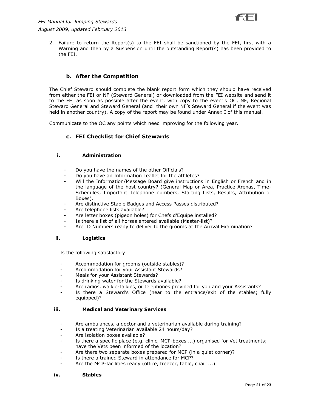2. Failure to return the Report(s) to the FEI shall be sanctioned by the FEI, first with a Warning and then by a Suspension until the outstanding Report(s) has been provided to the FEI.

## **b. After the Competition**

The Chief Steward should complete the blank report form which they should have received from either the FEI or NF (Steward General) or downloaded from the FEI website and send it to the FEI as soon as possible after the event, with copy to the event's OC, NF, Regional Steward General and Steward General (and their own NF's Steward General if the event was held in another country). A copy of the report may be found under Annex I of this manual.

Communicate to the OC any points which need improving for the following year.

## **c. FEI Checklist for Chief Stewards**

#### **i. Administration**

- Do you have the names of the other Officials?
- Do you have an Information Leaflet for the athletes?
- Will the Information/Message Board give instructions in English or French and in the language of the host country? (General Map or Area, Practice Arenas, Time-Schedules, Important Telephone numbers, Starting Lists, Results, Attribution of Boxes).
- Are distinctive Stable Badges and Access Passes distributed?
- Are telephone lists available?
- Are letter boxes (pigeon holes) for Chefs d'Equipe installed?
- Is there a list of all horses entered available (Master-list)?
- Are ID Numbers ready to deliver to the grooms at the Arrival Examination?

#### **ii. Logistics**

Is the following satisfactory:

- Accommodation for grooms (outside stables)?
- Accommodation for your Assistant Stewards?
- Meals for your Assistant Stewards?
- Is drinking water for the Stewards available?
- Are radios, walkie-talkies, or telephones provided for you and your Assistants?
- Is there a Steward's Office (near to the entrance/exit of the stables; fully equipped)?

#### **iii. Medical and Veterinary Services**

- Are ambulances, a doctor and a veterinarian available during training?
- Is a treating Veterinarian available 24 hours/day?
- Are isolation boxes available?
- Is there a specific place (e.g. clinic, MCP-boxes ...) organised for Vet treatments; have the Vets been informed of the location?
- Are there two separate boxes prepared for MCP (in a quiet corner)?
- Is there a trained Steward in attendance for MCP?
- Are the MCP-facilities ready (office, freezer, table, chair ...)

#### **iv. Stables**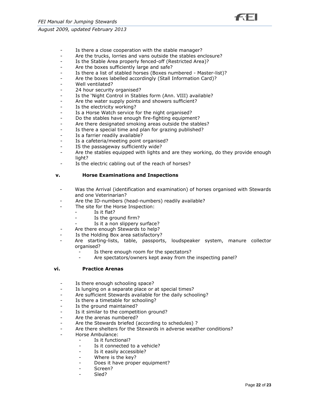

- Is there a close cooperation with the stable manager?
- Are the trucks, lorries and vans outside the stables enclosure?
- Is the Stable Area properly fenced-off (Restricted Area)?
- Are the boxes sufficiently large and safe?
- Is there a list of stabled horses (Boxes numbered Master-list)?
- Are the boxes labelled accordingly (Stall Information Card)?
- Well ventilated?
- 24 hour security organised?
- Is the 'Night Control in Stables form (Ann. VIII) available?
- Are the water supply points and showers sufficient?
- Is the electricity working?
- Is a Horse Watch service for the night organised?
- Do the stables have enough fire-fighting equipment?
- Are there designated smoking areas outside the stables?
- Is there a special time and plan for grazing published?
- Is a farrier readily available?
- Is a cafeteria/meeting point organised?
- IS the passageway sufficiently wide?
- Are the stables equipped with lights and are they working, do they provide enough light?
- Is the electric cabling out of the reach of horses?

#### **v. Horse Examinations and Inspections**

- Was the Arrival (identification and examination) of horses organised with Stewards and one Veterinarian?
- Are the ID-numbers (head-numbers) readily available?
- The site for the Horse Inspection:
	- Is it flat?
	- Is the ground firm?
	- Is it a non slippery surface?
- Are there enough Stewards to help?
- Is the Holding Box area satisfactory?
- Are starting-lists, table, passports, loudspeaker system, manure collector organised?
	- Is there enough room for the spectators?
	- Are spectators/owners kept away from the inspecting panel?

#### **vi. Practice Arenas**

- Is there enough schooling space?
- Is lunging on a separate place or at special times?
- Are sufficient Stewards available for the daily schooling?
- Is there a timetable for schooling?
- Is the ground maintained?
- Is it similar to the competition ground?
- Are the arenas numbered?
- Are the Stewards briefed (according to schedules) ?
- Are there shelters for the Stewards in adverse weather conditions?
- Horse Ambulance:
	- Is it functional?
		- Is it connected to a vehicle?
		- Is it easily accessible?
		- Where is the key?
		- Does it have proper equipment?
		- Screen?
		- Sled?